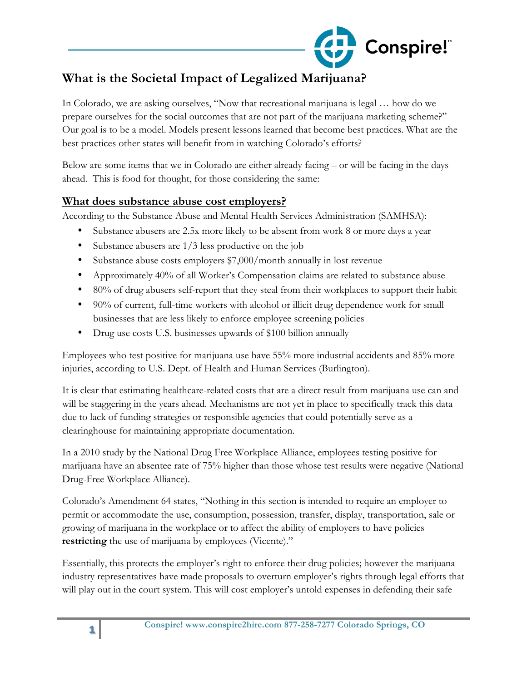

# **What is the Societal Impact of Legalized Marijuana?**

In Colorado, we are asking ourselves, "Now that recreational marijuana is legal … how do we prepare ourselves for the social outcomes that are not part of the marijuana marketing scheme?" Our goal is to be a model. Models present lessons learned that become best practices. What are the best practices other states will benefit from in watching Colorado's efforts?

Below are some items that we in Colorado are either already facing – or will be facing in the days ahead. This is food for thought, for those considering the same:

#### **What does substance abuse cost employers?**

According to the Substance Abuse and Mental Health Services Administration (SAMHSA):

- Substance abusers are 2.5x more likely to be absent from work 8 or more days a year
- Substance abusers are  $1/3$  less productive on the job
- Substance abuse costs employers \$7,000/month annually in lost revenue
- Approximately 40% of all Worker's Compensation claims are related to substance abuse
- 80% of drug abusers self-report that they steal from their workplaces to support their habit
- 90% of current, full-time workers with alcohol or illicit drug dependence work for small businesses that are less likely to enforce employee screening policies
- Drug use costs U.S. businesses upwards of \$100 billion annually

Employees who test positive for marijuana use have 55% more industrial accidents and 85% more injuries, according to U.S. Dept. of Health and Human Services (Burlington).

It is clear that estimating healthcare-related costs that are a direct result from marijuana use can and will be staggering in the years ahead. Mechanisms are not yet in place to specifically track this data due to lack of funding strategies or responsible agencies that could potentially serve as a clearinghouse for maintaining appropriate documentation.

In a 2010 study by the National Drug Free Workplace Alliance, employees testing positive for marijuana have an absentee rate of 75% higher than those whose test results were negative (National Drug-Free Workplace Alliance).

Colorado's Amendment 64 states, "Nothing in this section is intended to require an employer to permit or accommodate the use, consumption, possession, transfer, display, transportation, sale or growing of marijuana in the workplace or to affect the ability of employers to have policies **restricting** the use of marijuana by employees (Vicente)."

Essentially, this protects the employer's right to enforce their drug policies; however the marijuana industry representatives have made proposals to overturn employer's rights through legal efforts that will play out in the court system. This will cost employer's untold expenses in defending their safe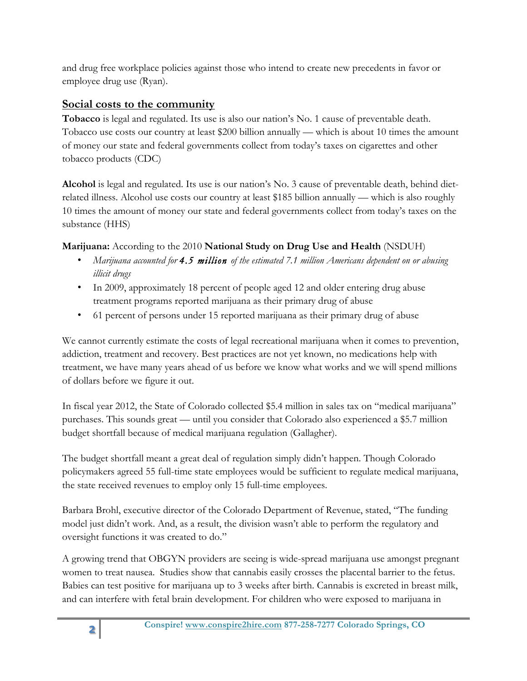and drug free workplace policies against those who intend to create new precedents in favor or employee drug use (Ryan).

## **Social costs to the community**

**Tobacco** is legal and regulated. Its use is also our nation's No. 1 cause of preventable death. Tobacco use costs our country at least \$200 billion annually — which is about 10 times the amount of money our state and federal governments collect from today's taxes on cigarettes and other tobacco products (CDC)

**Alcohol** is legal and regulated. Its use is our nation's No. 3 cause of preventable death, behind dietrelated illness. Alcohol use costs our country at least \$185 billion annually — which is also roughly 10 times the amount of money our state and federal governments collect from today's taxes on the substance (HHS)

**Marijuana:** According to the 2010 **National Study on Drug Use and Health** (NSDUH)

- *Marijuana accounted for 4.5 million of the estimated 7.1 million Americans dependent on or abusing illicit drugs*
- In 2009, approximately 18 percent of people aged 12 and older entering drug abuse treatment programs reported marijuana as their primary drug of abuse
- 61 percent of persons under 15 reported marijuana as their primary drug of abuse

We cannot currently estimate the costs of legal recreational marijuana when it comes to prevention, addiction, treatment and recovery. Best practices are not yet known, no medications help with treatment, we have many years ahead of us before we know what works and we will spend millions of dollars before we figure it out.

In fiscal year 2012, the State of Colorado collected \$5.4 million in sales tax on "medical marijuana" purchases. This sounds great — until you consider that Colorado also experienced a \$5.7 million budget shortfall because of medical marijuana regulation (Gallagher).

The budget shortfall meant a great deal of regulation simply didn't happen. Though Colorado policymakers agreed 55 full-time state employees would be sufficient to regulate medical marijuana, the state received revenues to employ only 15 full-time employees.

Barbara Brohl, executive director of the Colorado Department of Revenue, stated, "The funding model just didn't work. And, as a result, the division wasn't able to perform the regulatory and oversight functions it was created to do."

A growing trend that OBGYN providers are seeing is wide-spread marijuana use amongst pregnant women to treat nausea. Studies show that cannabis easily crosses the placental barrier to the fetus. Babies can test positive for marijuana up to 3 weeks after birth. Cannabis is excreted in breast milk, and can interfere with fetal brain development. For children who were exposed to marijuana in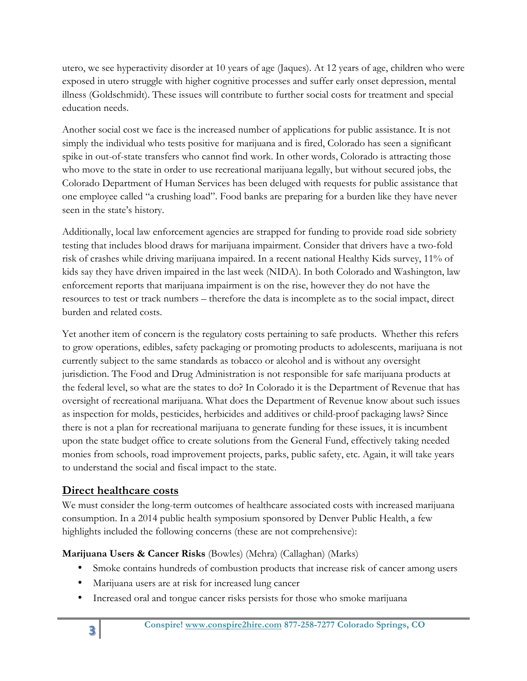utero, we see hyperactivity disorder at 10 years of age (Jaques). At 12 years of age, children who were exposed in utero struggle with higher cognitive processes and suffer early onset depression, mental illness (Goldschmidt). These issues will contribute to further social costs for treatment and special education needs.

Another social cost we face is the increased number of applications for public assistance. It is not simply the individual who tests positive for marijuana and is fired, Colorado has seen a significant spike in out-of-state transfers who cannot find work. In other words, Colorado is attracting those who move to the state in order to use recreational marijuana legally, but without secured jobs, the Colorado Department of Human Services has been deluged with requests for public assistance that one employee called "a crushing load". Food banks are preparing for a burden like they have never seen in the state's history.

Additionally, local law enforcement agencies are strapped for funding to provide road side sobriety testing that includes blood draws for marijuana impairment. Consider that drivers have a two-fold risk of crashes while driving marijuana impaired. In a recent national Healthy Kids survey, 11% of kids say they have driven impaired in the last week (NIDA). In both Colorado and Washington, law enforcement reports that marijuana impairment is on the rise, however they do not have the resources to test or track numbers – therefore the data is incomplete as to the social impact, direct burden and related costs.

Yet another item of concern is the regulatory costs pertaining to safe products. Whether this refers to grow operations, edibles, safety packaging or promoting products to adolescents, marijuana is not currently subject to the same standards as tobacco or alcohol and is without any oversight jurisdiction. The Food and Drug Administration is not responsible for safe marijuana products at the federal level, so what are the states to do? In Colorado it is the Department of Revenue that has oversight of recreational marijuana. What does the Department of Revenue know about such issues as inspection for molds, pesticides, herbicides and additives or child-proof packaging laws? Since there is not a plan for recreational marijuana to generate funding for these issues, it is incumbent upon the state budget office to create solutions from the General Fund, effectively taking needed monies from schools, road improvement projects, parks, public safety, etc. Again, it will take years to understand the social and fiscal impact to the state.

### **Direct healthcare costs**

We must consider the long-term outcomes of healthcare associated costs with increased marijuana consumption. In a 2014 public health symposium sponsored by Denver Public Health, a few highlights included the following concerns (these are not comprehensive):

### **Marijuana Users & Cancer Risks** (Bowles) (Mehra) (Callaghan) (Marks)

- Smoke contains hundreds of combustion products that increase risk of cancer among users
- Marijuana users are at risk for increased lung cancer
- Increased oral and tongue cancer risks persists for those who smoke marijuana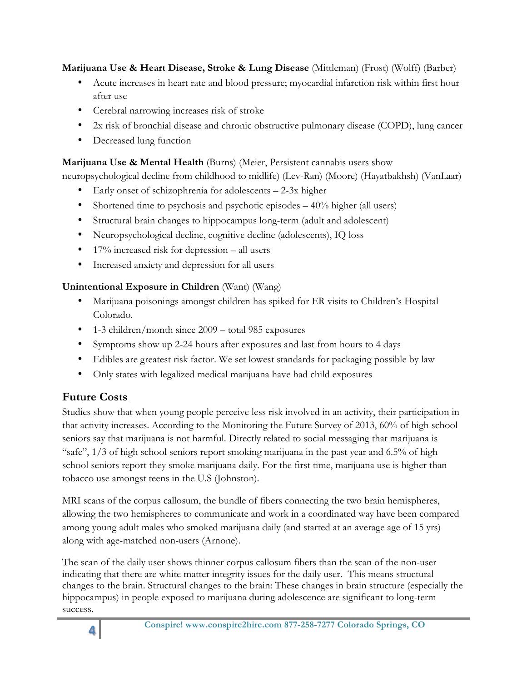**Marijuana Use & Heart Disease, Stroke & Lung Disease** (Mittleman) (Frost) (Wolff) (Barber)

- Acute increases in heart rate and blood pressure; myocardial infarction risk within first hour after use
- Cerebral narrowing increases risk of stroke
- 2x risk of bronchial disease and chronic obstructive pulmonary disease (COPD), lung cancer
- Decreased lung function

## **Marijuana Use & Mental Health** (Burns) (Meier, Persistent cannabis users show

neuropsychological decline from childhood to midlife) (Lev-Ran) (Moore) (Hayatbakhsh) (VanLaar)

- Early onset of schizophrenia for adolescents 2-3x higher
- Shortened time to psychosis and psychotic episodes  $-40\%$  higher (all users)
- Structural brain changes to hippocampus long-term (adult and adolescent)
- Neuropsychological decline, cognitive decline (adolescents), IQ loss
- $17\%$  increased risk for depression all users
- Increased anxiety and depression for all users

# **Unintentional Exposure in Children** (Want) (Wang)

- Marijuana poisonings amongst children has spiked for ER visits to Children's Hospital Colorado.
- 1-3 children/month since 2009 total 985 exposures
- Symptoms show up 2-24 hours after exposures and last from hours to 4 days
- Edibles are greatest risk factor. We set lowest standards for packaging possible by law
- Only states with legalized medical marijuana have had child exposures

# **Future Costs**

Studies show that when young people perceive less risk involved in an activity, their participation in that activity increases. According to the Monitoring the Future Survey of 2013, 60% of high school seniors say that marijuana is not harmful. Directly related to social messaging that marijuana is "safe",  $1/3$  of high school seniors report smoking marijuana in the past year and 6.5% of high school seniors report they smoke marijuana daily. For the first time, marijuana use is higher than tobacco use amongst teens in the U.S (Johnston).

MRI scans of the corpus callosum, the bundle of fibers connecting the two brain hemispheres, allowing the two hemispheres to communicate and work in a coordinated way have been compared among young adult males who smoked marijuana daily (and started at an average age of 15 yrs) along with age-matched non-users (Arnone).

The scan of the daily user shows thinner corpus callosum fibers than the scan of the non-user indicating that there are white matter integrity issues for the daily user. This means structural changes to the brain. Structural changes to the brain: These changes in brain structure (especially the hippocampus) in people exposed to marijuana during adolescence are significant to long-term success.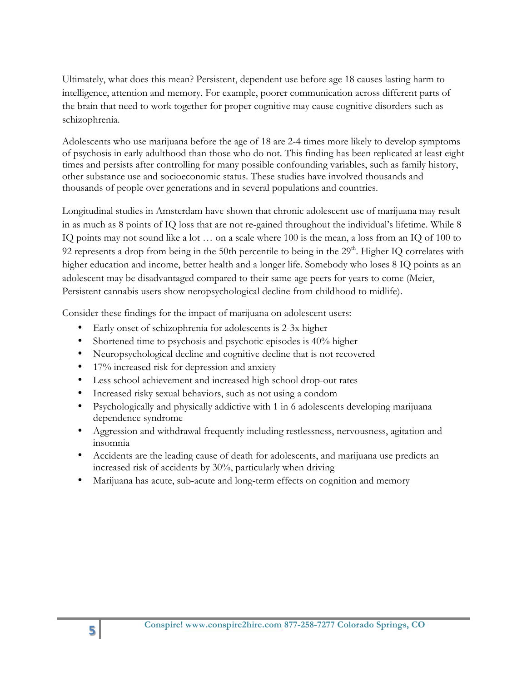Ultimately, what does this mean? Persistent, dependent use before age 18 causes lasting harm to intelligence, attention and memory. For example, poorer communication across different parts of the brain that need to work together for proper cognitive may cause cognitive disorders such as schizophrenia.

Adolescents who use marijuana before the age of 18 are 2-4 times more likely to develop symptoms of psychosis in early adulthood than those who do not. This finding has been replicated at least eight times and persists after controlling for many possible confounding variables, such as family history, other substance use and socioeconomic status. These studies have involved thousands and thousands of people over generations and in several populations and countries.

Longitudinal studies in Amsterdam have shown that chronic adolescent use of marijuana may result in as much as 8 points of IQ loss that are not re-gained throughout the individual's lifetime. While 8 IQ points may not sound like a lot … on a scale where 100 is the mean, a loss from an IQ of 100 to 92 represents a drop from being in the 50th percentile to being in the  $29<sup>th</sup>$ . Higher IQ correlates with higher education and income, better health and a longer life. Somebody who loses 8 IQ points as an adolescent may be disadvantaged compared to their same-age peers for years to come (Meier, Persistent cannabis users show neropsychological decline from childhood to midlife).

Consider these findings for the impact of marijuana on adolescent users:

- Early onset of schizophrenia for adolescents is 2-3x higher
- Shortened time to psychosis and psychotic episodes is 40% higher
- Neuropsychological decline and cognitive decline that is not recovered
- 17% increased risk for depression and anxiety
- Less school achievement and increased high school drop-out rates
- Increased risky sexual behaviors, such as not using a condom
- Psychologically and physically addictive with 1 in 6 adolescents developing marijuana dependence syndrome
- Aggression and withdrawal frequently including restlessness, nervousness, agitation and insomnia
- Accidents are the leading cause of death for adolescents, and marijuana use predicts an increased risk of accidents by 30%, particularly when driving
- Marijuana has acute, sub-acute and long-term effects on cognition and memory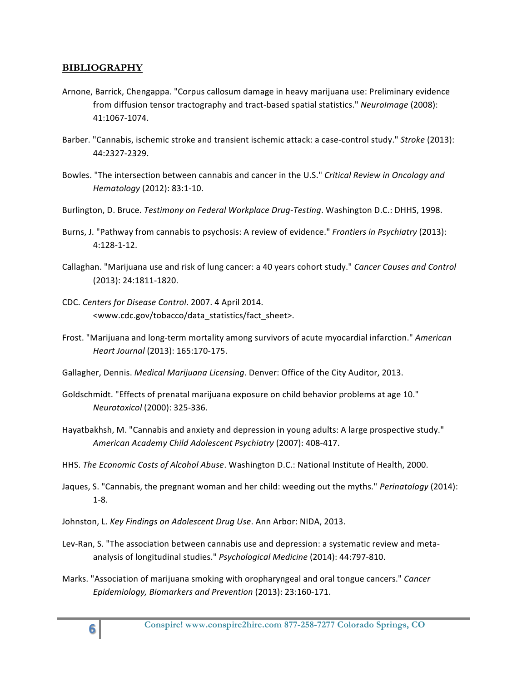#### **BIBLIOGRAPHY**

- Arnone, Barrick, Chengappa. "Corpus callosum damage in heavy marijuana use: Preliminary evidence from diffusion tensor tractography and tract-based spatial statistics." *NeuroImage* (2008): 41:1067-1074.
- Barber. "Cannabis, ischemic stroke and transient ischemic attack: a case-control study." *Stroke* (2013): 44:2327-2329.
- Bowles. "The intersection between cannabis and cancer in the U.S." *Critical Review in Oncology and Hematology* (2012): 83:1-10.
- Burlington, D. Bruce. *Testimony on Federal Workplace Drug-Testing*. Washington D.C.: DHHS, 1998.
- Burns, J. "Pathway from cannabis to psychosis: A review of evidence." *Frontiers in Psychiatry* (2013): 4:128?1?12.
- Callaghan. "Marijuana use and risk of lung cancer: a 40 years cohort study." Cancer Causes and Control (2013): 24:1811-1820.
- CDC. Centers for Disease Control. 2007. 4 April 2014. <www.cdc.gov/tobacco/data\_statistics/fact\_sheet>.
- Frost. "Marijuana and long-term mortality among survivors of acute myocardial infarction." *American Heart Journal* (2013): 165:170-175.
- Gallagher, Dennis. *Medical Marijuana Licensing*. Denver: Office of the City Auditor, 2013.
- Goldschmidt. "Effects of prenatal marijuana exposure on child behavior problems at age 10." *Neurotoxicol* (2000): 325-336.
- Hayatbakhsh, M. "Cannabis and anxiety and depression in young adults: A large prospective study." American Academy Child Adolescent Psychiatry (2007): 408-417.
- HHS. *The Economic Costs of Alcohol Abuse*. Washington D.C.: National Institute of Health, 2000.
- Jaques, S. "Cannabis, the pregnant woman and her child: weeding out the myths." *Perinatology* (2014):  $1 - 8$ .
- Johnston, L. *Key Findings on Adolescent Drug Use*. Ann Arbor: NIDA, 2013.
- Lev-Ran, S. "The association between cannabis use and depression: a systematic review and metaanalysis of longitudinal studies." Psychological Medicine (2014): 44:797-810.
- Marks. "Association of marijuana smoking with oropharyngeal and oral tongue cancers." *Cancer Epidemiology, Biomarkers and Prevention* (2013): 23:160-171.